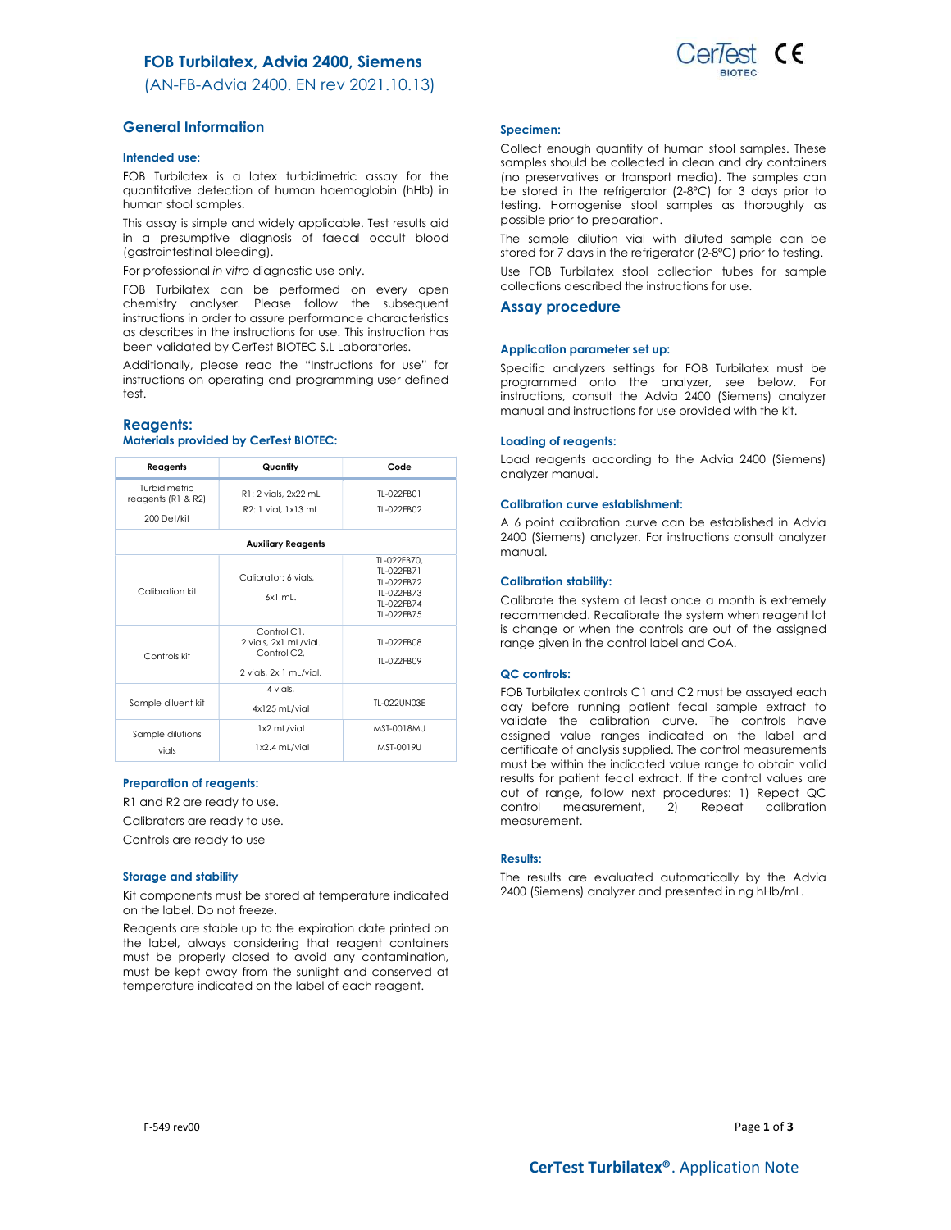# FOB Turbilatex, Advia 2400, Siemens

(AN-FB-Advia 2400. EN rev 2021.10.13)

# General Information

### Intended use:

FOB Turbilatex is a latex turbidimetric assay for the quantitative detection of human haemoglobin (hHb) in human stool samples.

This assay is simple and widely applicable. Test results aid in a presumptive diagnosis of faecal occult blood (gastrointestinal bleeding).

For professional in vitro diagnostic use only.

FOB Turbilatex can be performed on every open chemistry analyser. Please follow the subsequent instructions in order to assure performance characteristics as describes in the instructions for use. This instruction has been validated by CerTest BIOTEC S.L Laboratories.

Additionally, please read the "Instructions for use" for instructions on operating and programming user defined test.

### Reagents:

# Materials provided by CerTest BIOTEC:

| Reagents                                           | Quantity                                                                      | Code                                                                              |  |  |
|----------------------------------------------------|-------------------------------------------------------------------------------|-----------------------------------------------------------------------------------|--|--|
| Turbidimetric<br>reagents (R1 & R2)<br>200 Det/kit | R1: 2 vials, 2x22 mL<br>R2: 1 vial, 1x13 mL                                   | TI-022FB01<br>TI-022FB02                                                          |  |  |
| <b>Auxiliary Reagents</b>                          |                                                                               |                                                                                   |  |  |
| Calibration kit                                    | Calibrator: 6 vials.<br>6x1 ml                                                | TL-022FB70.<br>TI-022FB71<br>TI-022FB72<br>TL-022FB73<br>TI-022FB74<br>TI-022FB75 |  |  |
| Controls kit                                       | Control C1.<br>2 vials, 2x1 mL/vial.<br>Control C2,<br>2 vials, 2x 1 mL/vial. | TI-022FB08<br>TL-022FB09                                                          |  |  |
| Sample diluent kit                                 | 4 vials.<br>4x125 mL/vial                                                     | TI-022UN03F                                                                       |  |  |
| Sample dilutions<br>vials                          | 1x2 mL/vial<br>1x2.4 mL/vial                                                  | MST-0018MU<br>MST-0019U                                                           |  |  |

# Preparation of reagents:

R1 and R2 are ready to use.

Calibrators are ready to use.

Controls are ready to use

#### Storage and stability

Kit components must be stored at temperature indicated on the label. Do not freeze.

Reagents are stable up to the expiration date printed on the label, always considering that reagent containers must be properly closed to avoid any contamination, must be kept away from the sunlight and conserved at temperature indicated on the label of each reagent.

#### Specimen:

Collect enough quantity of human stool samples. These samples should be collected in clean and dry containers (no preservatives or transport media). The samples can be stored in the refrigerator (2-8ºC) for 3 days prior to testing. Homogenise stool samples as thoroughly as possible prior to preparation.

The sample dilution vial with diluted sample can be stored for 7 days in the refrigerator (2-8ºC) prior to testing.

Use FOB Turbilatex stool collection tubes for sample collections described the instructions for use.

### Assay procedure

#### Application parameter set up:

Specific analyzers settings for FOB Turbilatex must be programmed onto the analyzer, see below. For instructions, consult the Advia 2400 (Siemens) analyzer manual and instructions for use provided with the kit.

### Loading of reagents:

Load reagents according to the Advia 2400 (Siemens) analyzer manual.

### Calibration curve establishment:

A 6 point calibration curve can be established in Advia 2400 (Siemens) analyzer. For instructions consult analyzer manual.

### Calibration stability:

Calibrate the system at least once a month is extremely recommended. Recalibrate the system when reagent lot is change or when the controls are out of the assigned range given in the control label and CoA.

### QC controls:

FOB Turbilatex controls C1 and C2 must be assayed each day before running patient fecal sample extract to validate the calibration curve. The controls have assigned value ranges indicated on the label and certificate of analysis supplied. The control measurements must be within the indicated value range to obtain valid results for patient fecal extract. If the control values are out of range, follow next procedures: 1) Repeat QC control measurement, 2) Repeat calibration measurement.

### Results:

The results are evaluated automatically by the Advia 2400 (Siemens) analyzer and presented in ng hHb/mL.

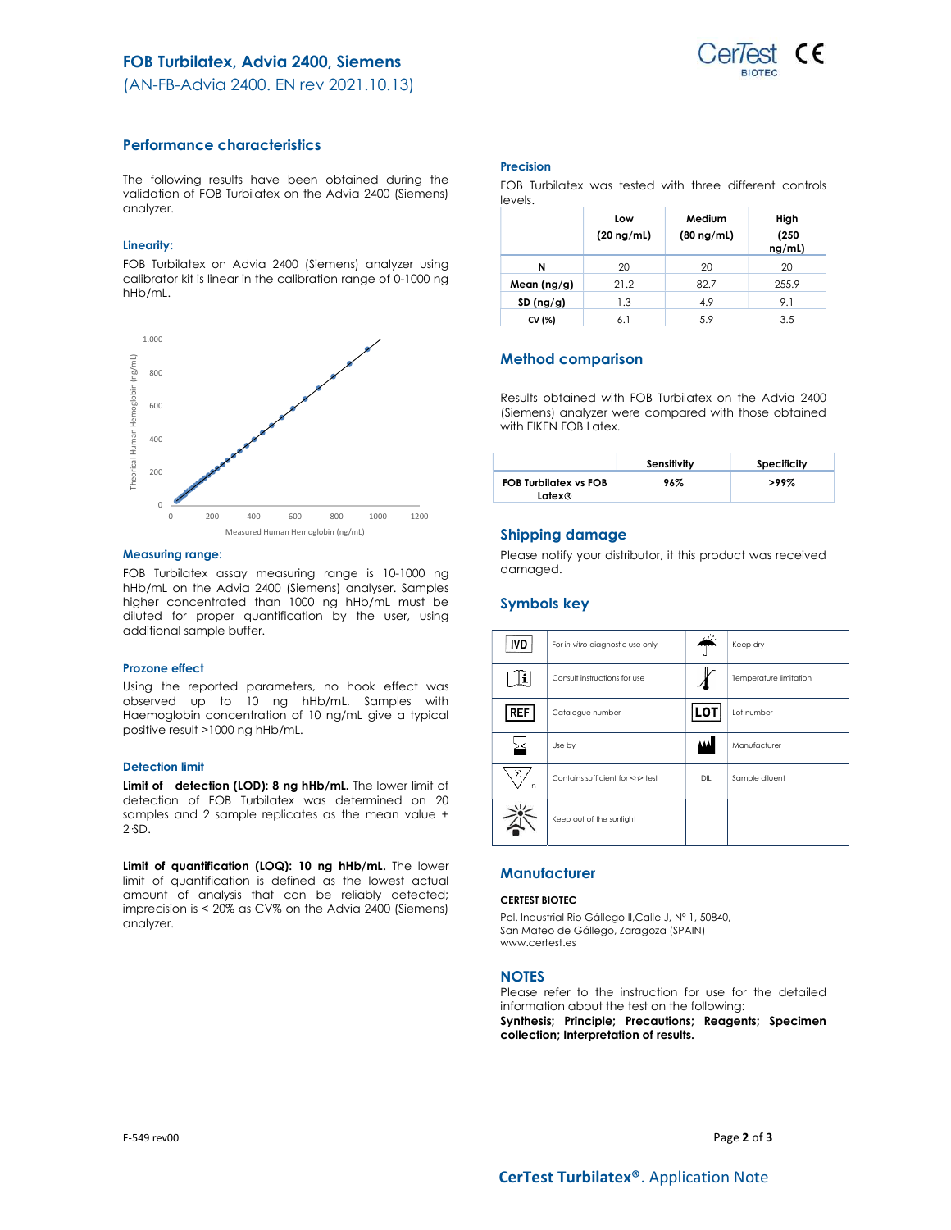# FOB Turbilatex, Advia 2400, Siemens



(AN-FB-Advia 2400. EN rev 2021.10.13)

# Performance characteristics

The following results have been obtained during the validation of FOB Turbilatex on the Advia 2400 (Siemens) analyzer.

# Linearity:

FOB Turbilatex on Advia 2400 (Siemens) analyzer using calibrator kit is linear in the calibration range of 0-1000 ng hHb/mL.



### Measuring range:

FOB Turbilatex assay measuring range is 10-1000 ng hHb/mL on the Advia 2400 (Siemens) analyser. Samples higher concentrated than 1000 ng hHb/mL must be diluted for proper quantification by the user, using additional sample buffer.

### Prozone effect

Using the reported parameters, no hook effect was observed up to 10 ng hHb/mL. Samples with Haemoglobin concentration of 10 ng/mL give a typical positive result >1000 ng hHb/mL.

# Detection limit

Limit of detection (LOD): 8 ng hHb/mL. The lower limit of detection of FOB Turbilatex was determined on 20 samples and 2 sample replicates as the mean value + 2·SD.

Limit of quantification (LOQ): 10 ng hHb/mL. The lower limit of quantification is defined as the lowest actual amount of analysis that can be reliably detected; imprecision is < 20% as CV% on the Advia 2400 (Siemens) analyzer.

### Precision

FOB Turbilatex was tested with three different controls levels.

|             | Low<br>$(20 \nmid mL)$ | Medium<br>$(80 \nmid mL)$ | High<br>(250)<br>ng/ml) |
|-------------|------------------------|---------------------------|-------------------------|
| N           | 20                     | 20                        | 20                      |
| Mean (ng/g) | 21.2                   | 82.7                      | 255.9                   |
| SD(ng/g)    | 1.3                    | 4.9                       | 9.1                     |
| CV (%)      | 6.1                    | 5.9                       | 3.5                     |

# Method comparison

Results obtained with FOB Turbilatex on the Advia 2400 (Siemens) analyzer were compared with those obtained with EIKEN FOB Latex.

|                                        | Sensitivity | Specificity |
|----------------------------------------|-------------|-------------|
| <b>FOB Turbilatex vs FOB</b><br>Latex® | 96%         | $>99\%$     |

# Shipping damage

Please notify your distributor, it this product was received damaged.

# Symbols key

| <b>IVD</b> | For in vitro diagnostic use only     | - 11 | Keep dry               |
|------------|--------------------------------------|------|------------------------|
|            | Consult instructions for use         |      | Temperature limitation |
| <b>REF</b> | Catalogue number                     | L٥   | Lot number             |
|            | Use by                               |      | Manufacturer           |
| Σ<br>n     | Contains sufficient for <n> test</n> | DIL  | Sample diluent         |
|            | Keep out of the sunlight             |      |                        |

# **Manufacturer**

# CERTEST BIOTEC

Pol. Industrial Río Gállego II,Calle J, Nº 1, 50840, San Mateo de Gállego, Zaragoza (SPAIN) www.certest.es

# **NOTES**

Please refer to the instruction for use for the detailed information about the test on the following:

Synthesis; Principle; Precautions; Reagents; Specimen collection; Interpretation of results.